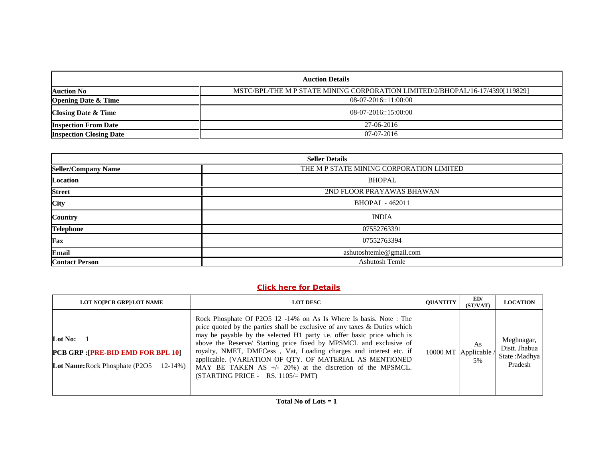| <b>Auction Details</b>         |                                                                               |
|--------------------------------|-------------------------------------------------------------------------------|
| <b>Auction No</b>              | MSTC/BPL/THE M P STATE MINING CORPORATION LIMITED/2/BHOPAL/16-17/4390[119829] |
| <b>Opening Date &amp; Time</b> | $08-07-2016::11:00:00$                                                        |
| <b>Closing Date &amp; Time</b> | 08-07-2016::15:00:00                                                          |
| <b>Inspection From Date</b>    | 27-06-2016                                                                    |
| <b>Inspection Closing Date</b> | $07-07-2016$                                                                  |

| <b>Seller Details</b>      |                                          |  |
|----------------------------|------------------------------------------|--|
| <b>Seller/Company Name</b> | THE M P STATE MINING CORPORATION LIMITED |  |
| Location                   | <b>BHOPAL</b>                            |  |
| <b>Street</b>              | 2ND FLOOR PRAYAWAS BHAWAN                |  |
| City                       | <b>BHOPAL - 462011</b>                   |  |
| <b>Country</b>             | <b>INDIA</b>                             |  |
| <b>Telephone</b>           | 07552763391                              |  |
| Fax                        | 07552763394                              |  |
| <b>Email</b>               | ashutoshtemle@gmail.com                  |  |
| <b>Contact Person</b>      | <b>Ashutosh Temle</b>                    |  |

# **Click here for Details**

| <b>LOT NOIPCB GRPI/LOT NAME</b>                                                                              | <b>LOT DESC</b>                                                                                                                                                                                                                                                                                                                                                                                                                                                                                                                          | <b>OUANTITY</b> | ED/<br>(ST/VAT)                   | <b>LOCATION</b>                                         |
|--------------------------------------------------------------------------------------------------------------|------------------------------------------------------------------------------------------------------------------------------------------------------------------------------------------------------------------------------------------------------------------------------------------------------------------------------------------------------------------------------------------------------------------------------------------------------------------------------------------------------------------------------------------|-----------------|-----------------------------------|---------------------------------------------------------|
| Lot No:<br><b>PCB GRP: [PRE-BID EMD FOR BPL 10]</b><br><b>Lot Name:</b> Rock Phosphate (P2O5<br>$12 - 14\%)$ | Rock Phosphate Of P2O5 12 -14% on As Is Where Is basis. Note: The<br>price quoted by the parties shall be exclusive of any taxes & Duties which<br>may be payable by the selected H1 party i.e. offer basic price which is<br>above the Reserve/ Starting price fixed by MPSMCL and exclusive of<br>royalty, NMET, DMFCess, Vat, Loading charges and interest etc. if<br>applicable. (VARIATION OF QTY. OF MATERIAL AS MENTIONED<br>MAY BE TAKEN AS $+/- 20\%$ ) at the discretion of the MPSMCL.<br>$(STARTING PRICE - RS. 1105/= PMT)$ |                 | As<br>10000 MT Applicable /<br>5% | Meghnagar,<br>Distt. Jhabua<br>State :Madhya<br>Pradesh |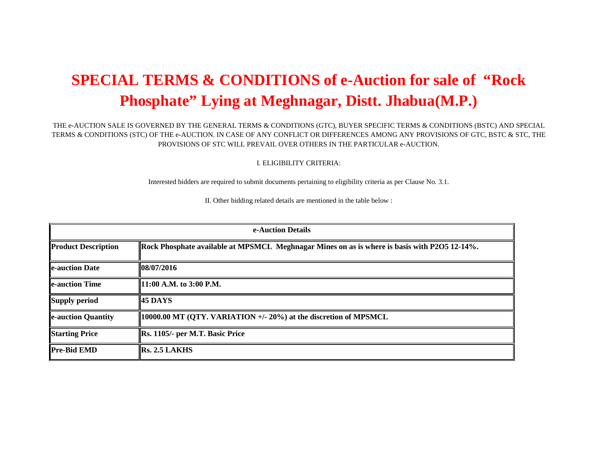# **SPECIAL TERMS & CONDITIONS of e-Auction for sale of "Rock Phosphate" Lying at Meghnagar, Distt. Jhabua(M.P.)**

#### THE e-AUCTION SALE IS GOVERNED BY THE GENERAL TERMS & CONDITIONS (GTC), BUYER SPECIFIC TERMS & CONDITIONS (BSTC) AND SPECIAL TERMS & CONDITIONS (STC) OF THE e-AUCTION. IN CASE OF ANY CONFLICT OR DIFFERENCES AMONG ANY PROVISIONS OF GTC, BSTC & STC, THE PROVISIONS OF STC WILL PREVAIL OVER OTHERS IN THE PARTICULAR e-AUCTION.

I. ELIGIBILITY CRITERIA:

Interested bidders are required to submit documents pertaining to eligibility criteria as per Clause No. 3.1.

II. Other bidding related details are mentioned in the table below :

| e-Auction Details          |                                                                                              |  |
|----------------------------|----------------------------------------------------------------------------------------------|--|
| <b>Product Description</b> | Rock Phosphate available at MPSMCL Meghnagar Mines on as is where is basis with P2O5 12-14%. |  |
| <b>le-auction Date</b>     | 108/07/2016                                                                                  |  |
| <b>le-auction Time</b>     | 11:00 A.M. to 3:00 P.M.                                                                      |  |
| <b>Supply period</b>       | <b>45 DAYS</b>                                                                               |  |
| e-auction Quantity         | 10000.00 MT (QTY. VARIATION +/- 20%) at the discretion of MPSMCL                             |  |
| <b>Starting Price</b>      | Rs. 1105/- per M.T. Basic Price                                                              |  |
| <b>Pre-Bid EMD</b>         | RS. 2.5 LAKHS                                                                                |  |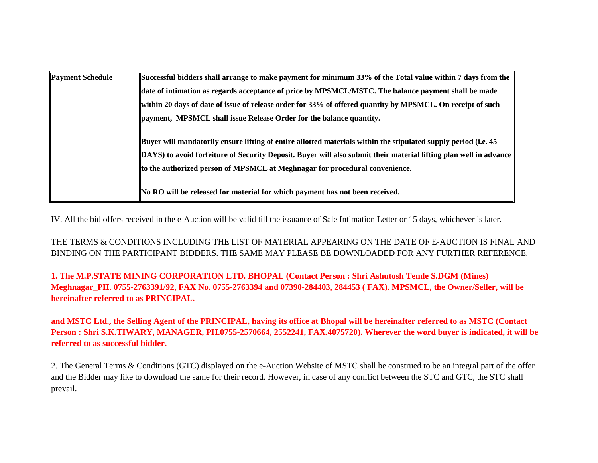| <b>Payment Schedule</b> | Successful bidders shall arrange to make payment for minimum 33% of the Total value within 7 days from the        |
|-------------------------|-------------------------------------------------------------------------------------------------------------------|
|                         | date of intimation as regards acceptance of price by MPSMCL/MSTC. The balance payment shall be made               |
|                         | within 20 days of date of issue of release order for 33% of offered quantity by MPSMCL. On receipt of such        |
|                         | payment, MPSMCL shall issue Release Order for the balance quantity.                                               |
|                         | Buyer will mandatorily ensure lifting of entire allotted materials within the stipulated supply period (i.e. 45   |
|                         | DAYS) to avoid forfeiture of Security Deposit. Buyer will also submit their material lifting plan well in advance |
|                         | to the authorized person of MPSMCL at Meghnagar for procedural convenience.                                       |
|                         | No RO will be released for material for which payment has not been received.                                      |

IV. All the bid offers received in the e-Auction will be valid till the issuance of Sale Intimation Letter or 15 days, whichever is later.

THE TERMS & CONDITIONS INCLUDING THE LIST OF MATERIAL APPEARING ON THE DATE OF E-AUCTION IS FINAL AND BINDING ON THE PARTICIPANT BIDDERS. THE SAME MAY PLEASE BE DOWNLOADED FOR ANY FURTHER REFERENCE.

**1. The M.P.STATE MINING CORPORATION LTD. BHOPAL (Contact Person : Shri Ashutosh Temle S.DGM (Mines) Meghnagar\_PH. 0755-2763391/92, FAX No. 0755-2763394 and 07390-284403, 284453 ( FAX). MPSMCL, the Owner/Seller, will be hereinafter referred to as PRINCIPAL.**

**and MSTC Ltd., the Selling Agent of the PRINCIPAL, having its office at Bhopal will be hereinafter referred to as MSTC (Contact Person : Shri S.K.TIWARY, MANAGER, PH.0755-2570664, 2552241, FAX.4075720). Wherever the word buyer is indicated, it will be referred to as successful bidder.**

2. The General Terms & Conditions (GTC) displayed on the e-Auction Website of MSTC shall be construed to be an integral part of the offer and the Bidder may like to download the same for their record. However, in case of any conflict between the STC and GTC, the STC shall prevail.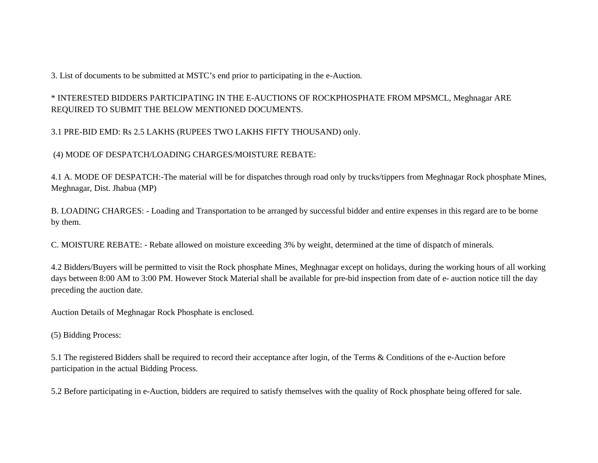3. List of documents to be submitted at MSTC's end prior to participating in the e-Auction.

\* INTERESTED BIDDERS PARTICIPATING IN THE E-AUCTIONS OF ROCKPHOSPHATE FROM MPSMCL, Meghnagar ARE REQUIRED TO SUBMIT THE BELOW MENTIONED DOCUMENTS.

3.1 PRE-BID EMD: Rs 2.5 LAKHS (RUPEES TWO LAKHS FIFTY THOUSAND) only.

(4) MODE OF DESPATCH/LOADING CHARGES/MOISTURE REBATE:

4.1 A. MODE OF DESPATCH:-The material will be for dispatches through road only by trucks/tippers from Meghnagar Rock phosphate Mines, Meghnagar, Dist. Jhabua (MP)

B. LOADING CHARGES: - Loading and Transportation to be arranged by successful bidder and entire expenses in this regard are to be borne by them.

C. MOISTURE REBATE: - Rebate allowed on moisture exceeding 3% by weight, determined at the time of dispatch of minerals.

4.2 Bidders/Buyers will be permitted to visit the Rock phosphate Mines, Meghnagar except on holidays, during the working hours of all working days between 8:00 AM to 3:00 PM. However Stock Material shall be available for pre-bid inspection from date of e- auction notice till the day preceding the auction date.

Auction Details of Meghnagar Rock Phosphate is enclosed.

(5) Bidding Process:

5.1 The registered Bidders shall be required to record their acceptance after login, of the Terms & Conditions of the e-Auction before participation in the actual Bidding Process.

5.2 Before participating in e-Auction, bidders are required to satisfy themselves with the quality of Rock phosphate being offered for sale.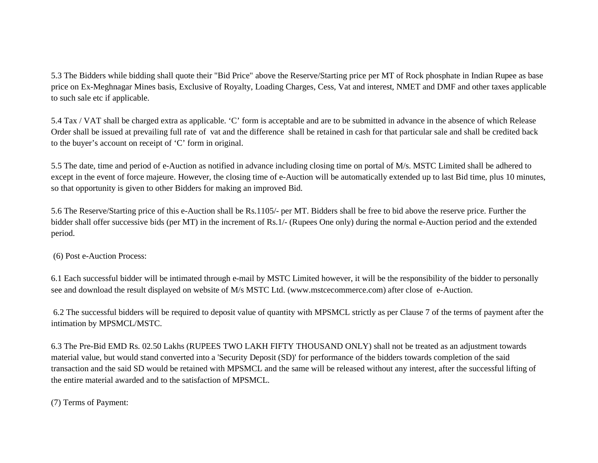5.3 The Bidders while bidding shall quote their "Bid Price" above the Reserve/Starting price per MT of Rock phosphate in Indian Rupee as base price on Ex-Meghnagar Mines basis, Exclusive of Royalty, Loading Charges, Cess, Vat and interest, NMET and DMF and other taxes applicable to such sale etc if applicable.

5.4 Tax / VAT shall be charged extra as applicable. 'C' form is acceptable and are to be submitted in advance in the absence of which Release Order shall be issued at prevailing full rate of vat and the difference shall be retained in cash for that particular sale and shall be credited back to the buyer's account on receipt of 'C' form in original.

5.5 The date, time and period of e-Auction as notified in advance including closing time on portal of M/s. MSTC Limited shall be adhered to except in the event of force majeure. However, the closing time of e-Auction will be automatically extended up to last Bid time, plus 10 minutes, so that opportunity is given to other Bidders for making an improved Bid.

5.6 The Reserve/Starting price of this e-Auction shall be Rs.1105/- per MT. Bidders shall be free to bid above the reserve price. Further the bidder shall offer successive bids (per MT) in the increment of Rs.1/- (Rupees One only) during the normal e-Auction period and the extended period.

(6) Post e-Auction Process:

6.1 Each successful bidder will be intimated through e-mail by MSTC Limited however, it will be the responsibility of the bidder to personally see and download the result displayed on website of M/s MSTC Ltd. (www.mstcecommerce.com) after close of e-Auction.

6.2 The successful bidders will be required to deposit value of quantity with MPSMCL strictly as per Clause 7 of the terms of payment after the intimation by MPSMCL/MSTC.

6.3 The Pre-Bid EMD Rs. 02.50 Lakhs (RUPEES TWO LAKH FIFTY THOUSAND ONLY) shall not be treated as an adjustment towards material value, but would stand converted into a 'Security Deposit (SD)' for performance of the bidders towards completion of the said transaction and the said SD would be retained with MPSMCL and the same will be released without any interest, after the successful lifting of the entire material awarded and to the satisfaction of MPSMCL.

(7) Terms of Payment: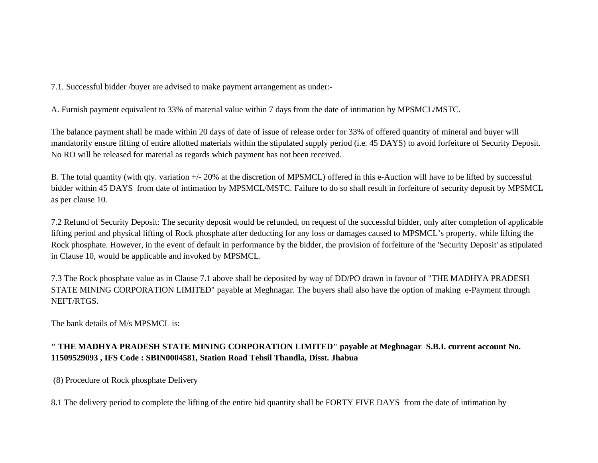7.1. Successful bidder /buyer are advised to make payment arrangement as under:-

A. Furnish payment equivalent to 33% of material value within 7 days from the date of intimation by MPSMCL/MSTC.

The balance payment shall be made within 20 days of date of issue of release order for 33% of offered quantity of mineral and buyer will mandatorily ensure lifting of entire allotted materials within the stipulated supply period (i.e. 45 DAYS) to avoid forfeiture of Security Deposit. No RO will be released for material as regards which payment has not been received.

B. The total quantity (with qty. variation +/- 20% at the discretion of MPSMCL) offered in this e-Auction will have to be lifted by successful bidder within 45 DAYS from date of intimation by MPSMCL/MSTC. Failure to do so shall result in forfeiture of security deposit by MPSMCL as per clause 10.

7.2 Refund of Security Deposit: The security deposit would be refunded, on request of the successful bidder, only after completion of applicable lifting period and physical lifting of Rock phosphate after deducting for any loss or damages caused to MPSMCL's property, while lifting the Rock phosphate. However, in the event of default in performance by the bidder, the provision of forfeiture of the 'Security Deposit' as stipulated in Clause 10, would be applicable and invoked by MPSMCL.

7.3 The Rock phosphate value as in Clause 7.1 above shall be deposited by way of DD/PO drawn in favour of "THE MADHYA PRADESH STATE MINING CORPORATION LIMITED" payable at Meghnagar. The buyers shall also have the option of making e-Payment through NEFT/RTGS.

The bank details of M/s MPSMCL is:

# **" THE MADHYA PRADESH STATE MINING CORPORATION LIMITED" payable at Meghnagar S.B.I. current account No. 11509529093 , IFS Code : SBIN0004581, Station Road Tehsil Thandla, Disst. Jhabua**

(8) Procedure of Rock phosphate Delivery

8.1 The delivery period to complete the lifting of the entire bid quantity shall be FORTY FIVE DAYS from the date of intimation by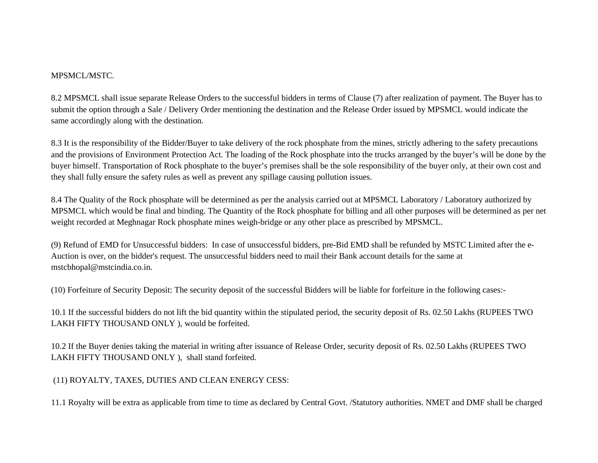### MPSMCL/MSTC.

8.2 MPSMCL shall issue separate Release Orders to the successful bidders in terms of Clause (7) after realization of payment. The Buyer has to submit the option through a Sale / Delivery Order mentioning the destination and the Release Order issued by MPSMCL would indicate the same accordingly along with the destination.

8.3 It is the responsibility of the Bidder/Buyer to take delivery of the rock phosphate from the mines, strictly adhering to the safety precautions and the provisions of Environment Protection Act. The loading of the Rock phosphate into the trucks arranged by the buyer's will be done by the buyer himself. Transportation of Rock phosphate to the buyer's premises shall be the sole responsibility of the buyer only, at their own cost and they shall fully ensure the safety rules as well as prevent any spillage causing pollution issues.

8.4 The Quality of the Rock phosphate will be determined as per the analysis carried out at MPSMCL Laboratory / Laboratory authorized by MPSMCL which would be final and binding. The Quantity of the Rock phosphate for billing and all other purposes will be determined as per net weight recorded at Meghnagar Rock phosphate mines weigh-bridge or any other place as prescribed by MPSMCL.

(9) Refund of EMD for Unsuccessful bidders: In case of unsuccessful bidders, pre-Bid EMD shall be refunded by MSTC Limited after the e- Auction is over, on the bidder's request. The unsuccessful bidders need to mail their Bank account details for the same at mstcbhopal@mstcindia.co.in.

(10) Forfeiture of Security Deposit: The security deposit of the successful Bidders will be liable for forfeiture in the following cases:-

10.1 If the successful bidders do not lift the bid quantity within the stipulated period, the security deposit of Rs. 02.50 Lakhs (RUPEES TWO LAKH FIFTY THOUSAND ONLY ), would be forfeited.

10.2 If the Buyer denies taking the material in writing after issuance of Release Order, security deposit of Rs. 02.50 Lakhs (RUPEES TWO LAKH FIFTY THOUSAND ONLY ), shall stand forfeited.

(11) ROYALTY, TAXES, DUTIES AND CLEAN ENERGY CESS:

11.1 Royalty will be extra as applicable from time to time as declared by Central Govt. /Statutory authorities. NMET and DMF shall be charged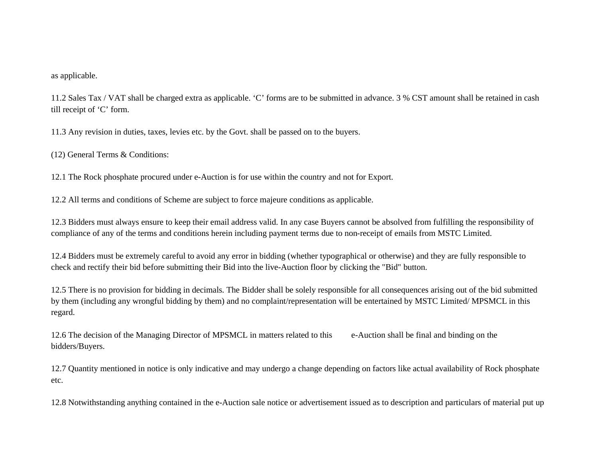#### as applicable.

11.2 Sales Tax / VAT shall be charged extra as applicable. 'C' forms are to be submitted in advance. 3 % CST amount shall be retained in cash till receipt of 'C' form.

11.3 Any revision in duties, taxes, levies etc. by the Govt. shall be passed on to the buyers.

(12) General Terms & Conditions:

12.1 The Rock phosphate procured under e-Auction is for use within the country and not for Export.

12.2 All terms and conditions of Scheme are subject to force majeure conditions as applicable.

12.3 Bidders must always ensure to keep their email address valid. In any case Buyers cannot be absolved from fulfilling the responsibility of compliance of any of the terms and conditions herein including payment terms due to non-receipt of emails from MSTC Limited.

12.4 Bidders must be extremely careful to avoid any error in bidding (whether typographical or otherwise) and they are fully responsible to check and rectify their bid before submitting their Bid into the live-Auction floor by clicking the "Bid" button.

12.5 There is no provision for bidding in decimals. The Bidder shall be solely responsible for all consequences arising out of the bid submitted by them (including any wrongful bidding by them) and no complaint/representation will be entertained by MSTC Limited/ MPSMCL in this regard.

12.6 The decision of the Managing Director of MPSMCL in matters related to this e-Auction shall be final and binding on the bidders/Buyers.

12.7 Quantity mentioned in notice is only indicative and may undergo a change depending on factors like actual availability of Rock phosphate etc.

12.8 Notwithstanding anything contained in the e-Auction sale notice or advertisement issued as to description and particulars of material put up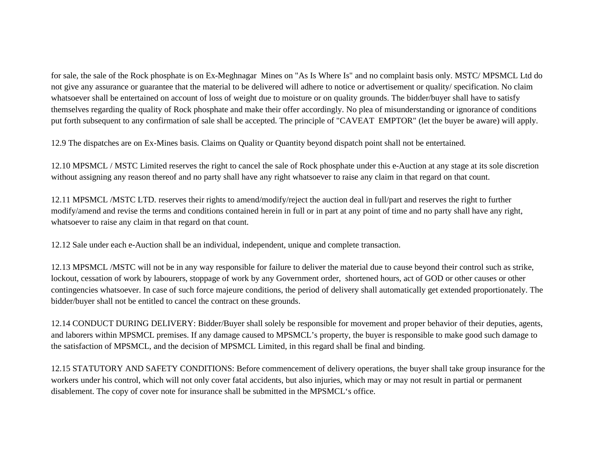for sale, the sale of the Rock phosphate is on Ex-Meghnagar Mines on "As Is Where Is" and no complaint basis only. MSTC/ MPSMCL Ltd do not give any assurance or guarantee that the material to be delivered will adhere to notice or advertisement or quality/ specification. No claim whatsoever shall be entertained on account of loss of weight due to moisture or on quality grounds. The bidder/buyer shall have to satisfy themselves regarding the quality of Rock phosphate and make their offer accordingly. No plea of misunderstanding or ignorance of conditions put forth subsequent to any confirmation of sale shall be accepted. The principle of "CAVEAT EMPTOR" (let the buyer be aware) will apply.

12.9 The dispatches are on Ex-Mines basis. Claims on Quality or Quantity beyond dispatch point shall not be entertained.

12.10 MPSMCL / MSTC Limited reserves the right to cancel the sale of Rock phosphate under this e-Auction at any stage at its sole discretion without assigning any reason thereof and no party shall have any right whatsoever to raise any claim in that regard on that count.

12.11 MPSMCL /MSTC LTD. reserves their rights to amend/modify/reject the auction deal in full/part and reserves the right to further modify/amend and revise the terms and conditions contained herein in full or in part at any point of time and no party shall have any right, whatsoever to raise any claim in that regard on that count.

12.12 Sale under each e-Auction shall be an individual, independent, unique and complete transaction.

12.13 MPSMCL /MSTC will not be in any way responsible for failure to deliver the material due to cause beyond their control such as strike, lockout, cessation of work by labourers, stoppage of work by any Government order, shortened hours, act of GOD or other causes or other contingencies whatsoever. In case of such force majeure conditions, the period of delivery shall automatically get extended proportionately. The bidder/buyer shall not be entitled to cancel the contract on these grounds.

12.14 CONDUCT DURING DELIVERY: Bidder/Buyer shall solely be responsible for movement and proper behavior of their deputies, agents, and laborers within MPSMCL premises. If any damage caused to MPSMCL's property, the buyer is responsible to make good such damage to the satisfaction of MPSMCL, and the decision of MPSMCL Limited, in this regard shall be final and binding.

12.15 STATUTORY AND SAFETY CONDITIONS: Before commencement of delivery operations, the buyer shall take group insurance for the workers under his control, which will not only cover fatal accidents, but also injuries, which may or may not result in partial or permanent disablement. The copy of cover note for insurance shall be submitted in the MPSMCL's office.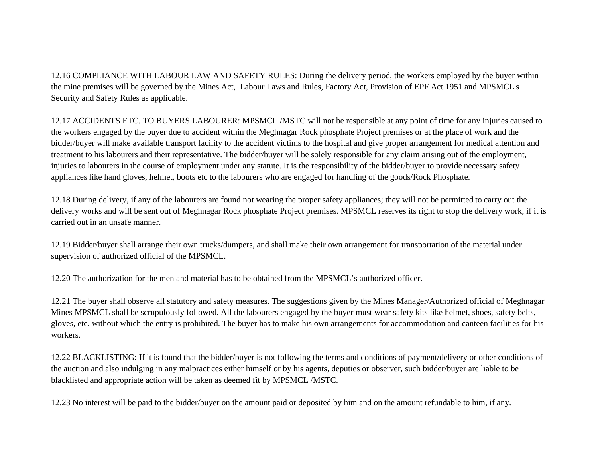12.16 COMPLIANCE WITH LABOUR LAW AND SAFETY RULES: During the delivery period, the workers employed by the buyer within the mine premises will be governed by the Mines Act, Labour Laws and Rules, Factory Act, Provision of EPF Act 1951 and MPSMCL's Security and Safety Rules as applicable.

12.17 ACCIDENTS ETC. TO BUYERS LABOURER: MPSMCL /MSTC will not be responsible at any point of time for any injuries caused to the workers engaged by the buyer due to accident within the Meghnagar Rock phosphate Project premises or at the place of work and the bidder/buyer will make available transport facility to the accident victims to the hospital and give proper arrangement for medical attention and treatment to his labourers and their representative. The bidder/buyer will be solely responsible for any claim arising out of the employment, injuries to labourers in the course of employment under any statute. It is the responsibility of the bidder/buyer to provide necessary safety appliances like hand gloves, helmet, boots etc to the labourers who are engaged for handling of the goods/Rock Phosphate.

12.18 During delivery, if any of the labourers are found not wearing the proper safety appliances; they will not be permitted to carry out the delivery works and will be sent out of Meghnagar Rock phosphate Project premises. MPSMCL reserves its right to stop the delivery work, if it is carried out in an unsafe manner.

12.19 Bidder/buyer shall arrange their own trucks/dumpers, and shall make their own arrangement for transportation of the material under supervision of authorized official of the MPSMCL.

12.20 The authorization for the men and material has to be obtained from the MPSMCL's authorized officer.

12.21 The buyer shall observe all statutory and safety measures. The suggestions given by the Mines Manager/Authorized official of Meghnagar Mines MPSMCL shall be scrupulously followed. All the labourers engaged by the buyer must wear safety kits like helmet, shoes, safety belts, gloves, etc. without which the entry is prohibited. The buyer has to make his own arrangements for accommodation and canteen facilities for his workers.

12.22 BLACKLISTING: If it is found that the bidder/buyer is not following the terms and conditions of payment/delivery or other conditions of the auction and also indulging in any malpractices either himself or by his agents, deputies or observer, such bidder/buyer are liable to be blacklisted and appropriate action will be taken as deemed fit by MPSMCL /MSTC.

12.23 No interest will be paid to the bidder/buyer on the amount paid or deposited by him and on the amount refundable to him, if any.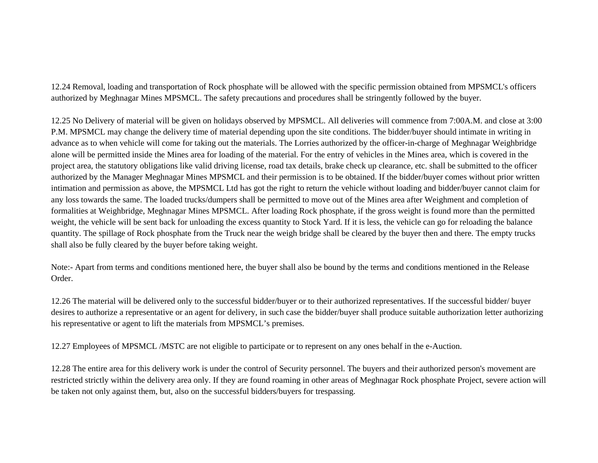12.24 Removal, loading and transportation of Rock phosphate will be allowed with the specific permission obtained from MPSMCL's officers authorized by Meghnagar Mines MPSMCL. The safety precautions and procedures shall be stringently followed by the buyer.

12.25 No Delivery of material will be given on holidays observed by MPSMCL. All deliveries will commence from 7:00A.M. and close at 3:00 P.M. MPSMCL may change the delivery time of material depending upon the site conditions. The bidder/buyer should intimate in writing in advance as to when vehicle will come for taking out the materials. The Lorries authorized by the officer-in-charge of Meghnagar Weighbridge alone will be permitted inside the Mines area for loading of the material. For the entry of vehicles in the Mines area, which is covered in the project area, the statutory obligations like valid driving license, road tax details, brake check up clearance, etc. shall be submitted to the officer authorized by the Manager Meghnagar Mines MPSMCL and their permission is to be obtained. If the bidder/buyer comes without prior written intimation and permission as above, the MPSMCL Ltd has got the right to return the vehicle without loading and bidder/buyer cannot claim for any loss towards the same. The loaded trucks/dumpers shall be permitted to move out of the Mines area after Weighment and completion of formalities at Weighbridge, Meghnagar Mines MPSMCL. After loading Rock phosphate, if the gross weight is found more than the permitted weight, the vehicle will be sent back for unloading the excess quantity to Stock Yard. If it is less, the vehicle can go for reloading the balance quantity. The spillage of Rock phosphate from the Truck near the weigh bridge shall be cleared by the buyer then and there. The empty trucks shall also be fully cleared by the buyer before taking weight.

Note:- Apart from terms and conditions mentioned here, the buyer shall also be bound by the terms and conditions mentioned in the Release Order.

12.26 The material will be delivered only to the successful bidder/buyer or to their authorized representatives. If the successful bidder/ buyer desires to authorize a representative or an agent for delivery, in such case the bidder/buyer shall produce suitable authorization letter authorizing his representative or agent to lift the materials from MPSMCL's premises.

12.27 Employees of MPSMCL /MSTC are not eligible to participate or to represent on any ones behalf in the e-Auction.

12.28 The entire area for this delivery work is under the control of Security personnel. The buyers and their authorized person's movement are restricted strictly within the delivery area only. If they are found roaming in other areas of Meghnagar Rock phosphate Project, severe action will be taken not only against them, but, also on the successful bidders/buyers for trespassing.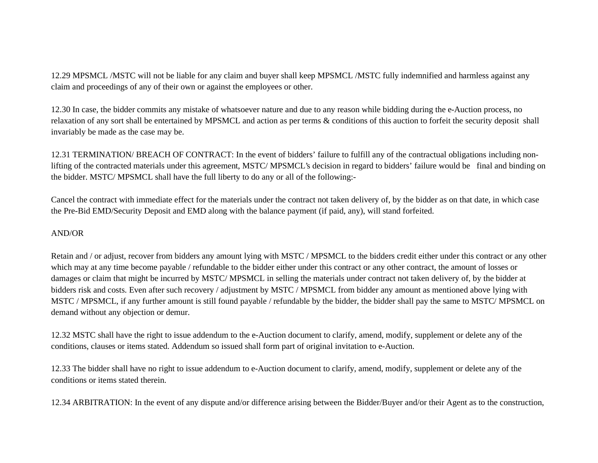12.29 MPSMCL /MSTC will not be liable for any claim and buyer shall keep MPSMCL /MSTC fully indemnified and harmless against any claim and proceedings of any of their own or against the employees or other.

12.30 In case, the bidder commits any mistake of whatsoever nature and due to any reason while bidding during the e-Auction process, no relaxation of any sort shall be entertained by MPSMCL and action as per terms & conditions of this auction to forfeit the security deposit shall invariably be made as the case may be.

12.31 TERMINATION/ BREACH OF CONTRACT: In the event of bidders' failure to fulfill any of the contractual obligations including nonlifting of the contracted materials under this agreement, MSTC/ MPSMCL's decision in regard to bidders' failure would be final and binding on the bidder. MSTC/ MPSMCL shall have the full liberty to do any or all of the following:-

Cancel the contract with immediate effect for the materials under the contract not taken delivery of, by the bidder as on that date, in which case the Pre-Bid EMD/Security Deposit and EMD along with the balance payment (if paid, any), will stand forfeited.

## AND/OR

Retain and / or adjust, recover from bidders any amount lying with MSTC / MPSMCL to the bidders credit either under this contract or any other which may at any time become payable / refundable to the bidder either under this contract or any other contract, the amount of losses or damages or claim that might be incurred by MSTC/ MPSMCL in selling the materials under contract not taken delivery of, by the bidder at bidders risk and costs. Even after such recovery / adjustment by MSTC / MPSMCL from bidder any amount as mentioned above lying with MSTC / MPSMCL, if any further amount is still found payable / refundable by the bidder, the bidder shall pay the same to MSTC/ MPSMCL on demand without any objection or demur.

12.32 MSTC shall have the right to issue addendum to the e-Auction document to clarify, amend, modify, supplement or delete any of the conditions, clauses or items stated. Addendum so issued shall form part of original invitation to e-Auction.

12.33 The bidder shall have no right to issue addendum to e-Auction document to clarify, amend, modify, supplement or delete any of the conditions or items stated therein.

12.34 ARBITRATION: In the event of any dispute and/or difference arising between the Bidder/Buyer and/or their Agent as to the construction,